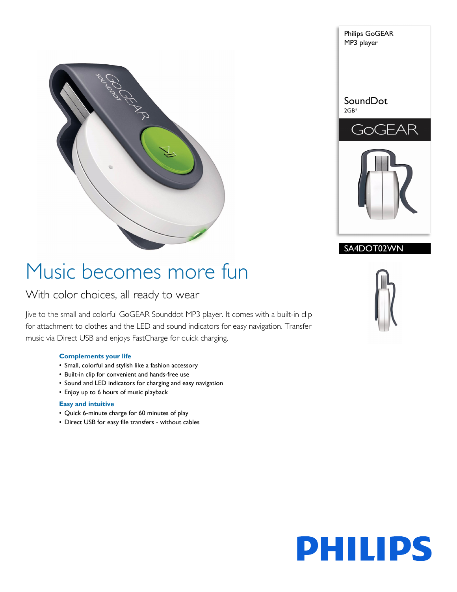



### SA4DOT02WN

# Music becomes more fun

### With color choices, all ready to wear

Jive to the small and colorful GoGEAR Sounddot MP3 player. It comes with a built-in clip for attachment to clothes and the LED and sound indicators for easy navigation. Transfer music via Direct USB and enjoys FastCharge for quick charging.

#### **Complements your life**

- Small, colorful and stylish like a fashion accessory
- Built-in clip for convenient and hands-free use
- Sound and LED indicators for charging and easy navigation
- Enjoy up to 6 hours of music playback

#### **Easy and intuitive**

- Quick 6-minute charge for 60 minutes of play
- Direct USB for easy file transfers without cables



# **PHILIPS**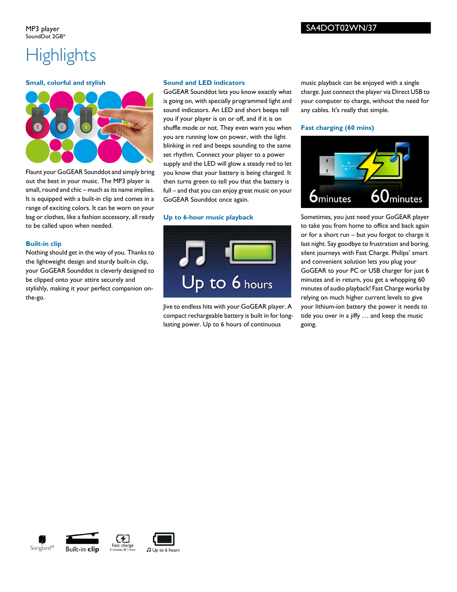## **Highlights**

#### **Small, colorful and stylish**



Flaunt your GoGEAR Sounddot and simply bring out the best in your music. The MP3 player is small, round and chic – much as its name implies. It is equipped with a built-in clip and comes in a range of exciting colors. It can be worn on your bag or clothes, like a fashion accessory, all ready to be called upon when needed.

#### **Built-in clip**

Nothing should get in the way of you. Thanks to the lightweight design and sturdy built-in clip, your GoGEAR Sounddot is cleverly designed to be clipped onto your attire securely and stylishly, making it your perfect companion onthe-go.

#### **Sound and LED indicators**

GoGEAR Sounddot lets you know exactly what is going on, with specially programmed light and sound indicators. An LED and short beeps tell you if your player is on or off, and if it is on shuffle mode or not. They even warn you when you are running low on power, with the light blinking in red and beeps sounding to the same set rhythm. Connect your player to a power supply and the LED will glow a steady red to let you know that your battery is being charged. It then turns green to tell you that the battery is full – and that you can enjoy great music on your GoGEAR Sounddot once again.

#### **Up to 6-hour music playback**



Jive to endless hits with your GoGEAR player. A compact rechargeable battery is built in for longlasting power. Up to 6 hours of continuous

music playback can be enjoyed with a single charge. Just connect the player via Direct USB to your computer to charge, without the need for any cables. It's really that simple.

#### **Fast charging (60 mins)**



Sometimes, you just need your GoGEAR player to take you from home to office and back again or for a short run – but you forgot to charge it last night. Say goodbye to frustration and boring, silent journeys with Fast Charge. Philips' smart and convenient solution lets you plug your GoGEAR to your PC or USB charger for just 6 minutes and in return, you get a whopping 60 minutes of audio playback! Fast Charge works by relying on much higher current levels to give your lithium-ion battery the power it needs to tide you over in a jiffy … and keep the music going.